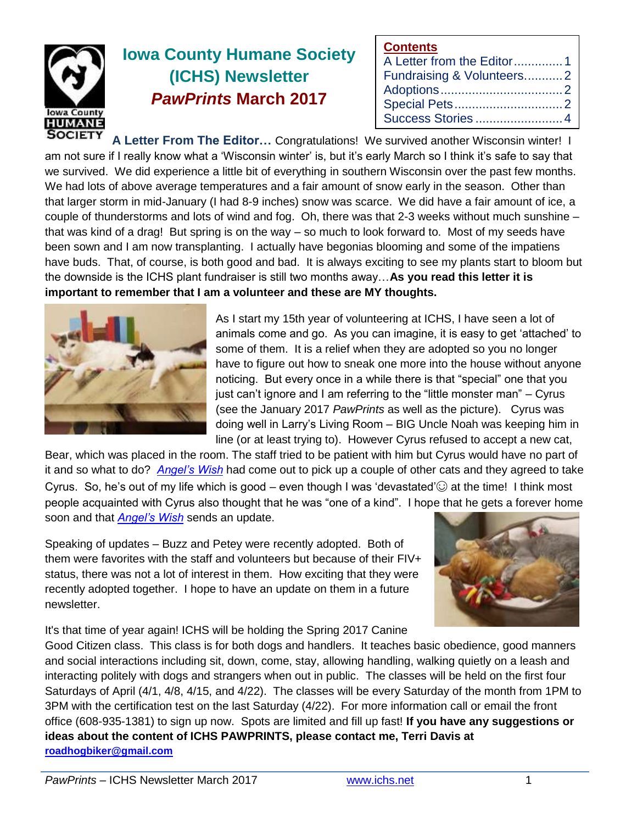

# **Iowa County Humane Society (ICHS) Newsletter** *PawPrints* **March 2017**

| <b>Contents</b>           |  |
|---------------------------|--|
| A Letter from the Editor1 |  |
| Fundraising & Volunteers2 |  |
|                           |  |
|                           |  |
| Success Stories 4         |  |

**A Letter From The Editor…** Congratulations! We survived another Wisconsin winter! I am not sure if I really know what a 'Wisconsin winter' is, but it's early March so I think it's safe to say that we survived. We did experience a little bit of everything in southern Wisconsin over the past few months. We had lots of above average temperatures and a fair amount of snow early in the season. Other than that larger storm in mid-January (I had 8-9 inches) snow was scarce. We did have a fair amount of ice, a couple of thunderstorms and lots of wind and fog. Oh, there was that 2-3 weeks without much sunshine – that was kind of a drag! But spring is on the way – so much to look forward to. Most of my seeds have been sown and I am now transplanting. I actually have begonias blooming and some of the impatiens have buds. That, of course, is both good and bad. It is always exciting to see my plants start to bloom but the downside is the ICHS plant fundraiser is still two months away…**As you read this letter it is important to remember that I am a volunteer and these are MY thoughts.**



As I start my 15th year of volunteering at ICHS, I have seen a lot of animals come and go. As you can imagine, it is easy to get 'attached' to some of them. It is a relief when they are adopted so you no longer have to figure out how to sneak one more into the house without anyone noticing. But every once in a while there is that "special" one that you just can't ignore and I am referring to the "little monster man" – Cyrus (see the January 2017 *PawPrints* as well as the picture). Cyrus was doing well in Larry's Living Room – BIG Uncle Noah was keeping him in line (or at least trying to). However Cyrus refused to accept a new cat,

Bear, which was placed in the room. The staff tried to be patient with him but Cyrus would have no part of it and so what to do? *[Angel's Wish](angelswish.org)* had come out to pick up a couple of other cats and they agreed to take Cyrus. So, he's out of my life which is good – even though I was 'devastated' $\odot$  at the time! I think most people acquainted with Cyrus also thought that he was "one of a kind". I hope that he gets a forever home soon and that *[Angel's Wish](angelswish.org)* sends an update.

Speaking of updates – Buzz and Petey were recently adopted. Both of them were favorites with the staff and volunteers but because of their FIV+ status, there was not a lot of interest in them. How exciting that they were recently adopted together. I hope to have an update on them in a future newsletter.



It's that time of year again! ICHS will be holding the Spring 2017 Canine

Good Citizen class. This class is for both dogs and handlers. It teaches basic obedience, good manners and social interactions including sit, down, come, stay, allowing handling, walking quietly on a leash and interacting politely with dogs and strangers when out in public. The classes will be held on the first four Saturdays of April (4/1, 4/8, 4/15, and 4/22). The classes will be every Saturday of the month from 1PM to 3PM with the certification test on the last Saturday (4/22). For more information call or email the front office (608-935-1381) to sign up now. Spots are limited and fill up fast! **If you have any suggestions or ideas about the content of ICHS PAWPRINTS, please contact me, Terri Davis at [roadhogbiker@gmail.com](mailto:roadhogbiker@gmail.com)**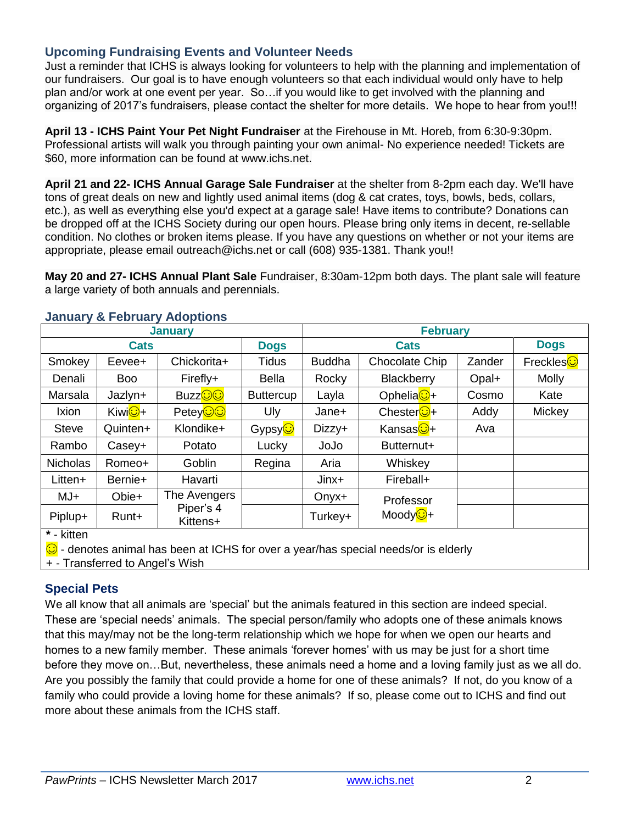## **Upcoming Fundraising Events and Volunteer Needs**

Just a reminder that ICHS is always looking for volunteers to help with the planning and implementation of our fundraisers. Our goal is to have enough volunteers so that each individual would only have to help plan and/or work at one event per year. So…if you would like to get involved with the planning and organizing of 2017's fundraisers, please contact the shelter for more details. We hope to hear from you!!!

**April 13 - ICHS Paint Your Pet Night Fundraiser** at the Firehouse in Mt. Horeb, from 6:30-9:30pm. Professional artists will walk you through painting your own animal- No experience needed! Tickets are \$60, more information can be found at www.ichs.net.

**April 21 and 22- ICHS Annual Garage Sale Fundraiser** at the shelter from 8-2pm each day. We'll have tons of great deals on new and lightly used animal items (dog & cat crates, toys, bowls, beds, collars, etc.), as well as everything else you'd expect at a garage sale! Have items to contribute? Donations can be dropped off at the ICHS Society during our open hours. Please bring only items in decent, re-sellable condition. No clothes or broken items please. If you have any questions on whether or not your items are appropriate, please email outreach@ichs.net or call (608) 935-1381. Thank you!!

**May 20 and 27- ICHS Annual Plant Sale** Fundraiser, 8:30am-12pm both days. The plant sale will feature a large variety of both annuals and perennials.

| <b>January</b>                |                       |                       |                      | <b>February</b> |                       |             |                   |
|-------------------------------|-----------------------|-----------------------|----------------------|-----------------|-----------------------|-------------|-------------------|
| <b>Cats</b>                   |                       | <b>Dogs</b>           | <b>Cats</b>          |                 |                       | <b>Dogs</b> |                   |
| Smokey                        | Eevee+                | Chickorita+           | <b>Tidus</b>         | <b>Buddha</b>   | Chocolate Chip        | Zander      | Freckles <b>☉</b> |
| Denali                        | <b>Boo</b>            | Firefly+              | Bella                | Rocky           | Blackberry            | Opal+       | <b>Molly</b>      |
| Marsala                       | Jazlyn+               | Buzz <mark>⊙⊙</mark>  | <b>Buttercup</b>     | Layla           | Ophelia <sup>C+</sup> | Cosmo       | Kate              |
| <b>Ixion</b>                  | Kiwi <mark>⊙</mark> + | Petey <b>oo</b>       | Uly                  | Jane+           | Chester <sup>1</sup>  | Addy        | Mickey            |
| <b>Steve</b>                  | Quinten+              | Klondike+             | Gypsy <mark>©</mark> | Dizzy+          | Kansas <b>⊙</b> +     | Ava         |                   |
| Rambo                         | Casey+                | Potato                | Lucky                | JoJo            | Butternut+            |             |                   |
| <b>Nicholas</b>               | Romeo+                | Goblin                | Regina               | Aria            | Whiskey               |             |                   |
| Litten+                       | Bernie+               | Havarti               |                      | Jinx+           | Fireball+             |             |                   |
| $MJ+$                         | Obie+                 | The Avengers          |                      | $Onyx+$         | Professor             |             |                   |
| Piplup+<br>$40 - 1.300 = 1.5$ | Runt+                 | Piper's 4<br>Kittens+ |                      | Turkey+         | Moody <b>O+</b>       |             |                   |

#### **January & February Adoptions**

**\*** - kitten

- denotes animal has been at ICHS for over a year/has special needs/or is elderly

+ - Transferred to Angel's Wish

# **Special Pets**

We all know that all animals are 'special' but the animals featured in this section are indeed special. These are 'special needs' animals. The special person/family who adopts one of these animals knows that this may/may not be the long-term relationship which we hope for when we open our hearts and homes to a new family member. These animals 'forever homes' with us may be just for a short time before they move on…But, nevertheless, these animals need a home and a loving family just as we all do. Are you possibly the family that could provide a home for one of these animals? If not, do you know of a family who could provide a loving home for these animals? If so, please come out to ICHS and find out more about these animals from the ICHS staff.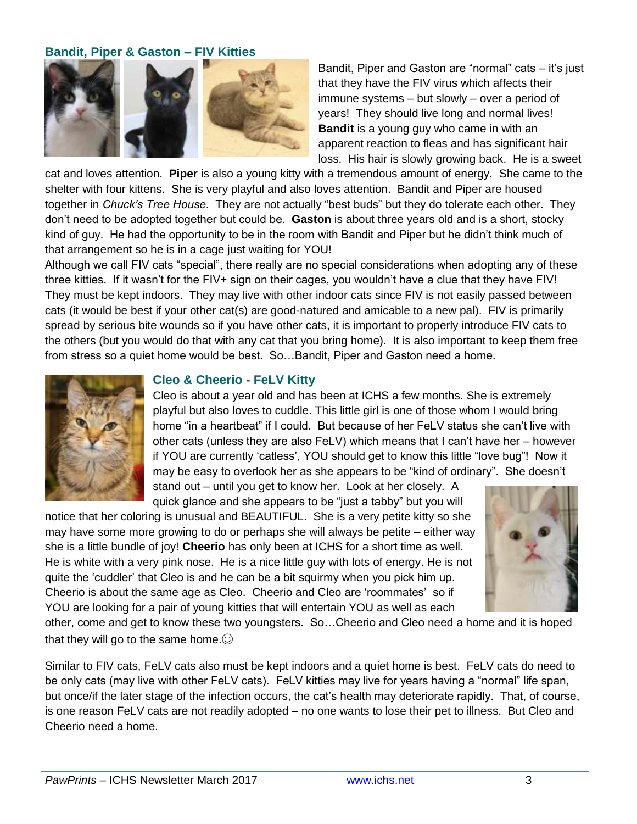### **Bandit, Piper & Gaston – FIV Kitties**



Bandit, Piper and Gaston are "normal" cats – it's just that they have the FIV virus which affects their immune systems – but slowly – over a period of years! They should live long and normal lives! **Bandit** is a young guy who came in with an apparent reaction to fleas and has significant hair loss. His hair is slowly growing back. He is a sweet

cat and loves attention. **Piper** is also a young kitty with a tremendous amount of energy. She came to the shelter with four kittens. She is very playful and also loves attention. Bandit and Piper are housed together in *Chuck's Tree House.* They are not actually "best buds" but they do tolerate each other. They don't need to be adopted together but could be. **Gaston** is about three years old and is a short, stocky kind of guy. He had the opportunity to be in the room with Bandit and Piper but he didn't think much of that arrangement so he is in a cage just waiting for YOU!

Although we call FIV cats "special", there really are no special considerations when adopting any of these three kitties. If it wasn't for the FIV+ sign on their cages, you wouldn't have a clue that they have FIV! They must be kept indoors. They may live with other indoor cats since FIV is not easily passed between cats (it would be best if your other cat(s) are good-natured and amicable to a new pal). FIV is primarily spread by serious bite wounds so if you have other cats, it is important to properly introduce FIV cats to the others (but you would do that with any cat that you bring home). It is also important to keep them free from stress so a quiet home would be best. So…Bandit, Piper and Gaston need a home.



#### **Cleo & Cheerio - FeLV Kitty**

Cleo is about a year old and has been at ICHS a few months. She is extremely playful but also loves to cuddle. This little girl is one of those whom I would bring home "in a heartbeat" if I could. But because of her FeLV status she can't live with other cats (unless they are also FeLV) which means that I can't have her – however if YOU are currently 'catless', YOU should get to know this little "love bug"! Now it may be easy to overlook her as she appears to be "kind of ordinary". She doesn't stand out – until you get to know her. Look at her closely. A

quick glance and she appears to be "just a tabby" but you will

notice that her coloring is unusual and BEAUTIFUL. She is a very petite kitty so she may have some more growing to do or perhaps she will always be petite – either way she is a little bundle of joy! **Cheerio** has only been at ICHS for a short time as well. He is white with a very pink nose. He is a nice little guy with lots of energy. He is not quite the 'cuddler' that Cleo is and he can be a bit squirmy when you pick him up. Cheerio is about the same age as Cleo. Cheerio and Cleo are 'roommates' so if YOU are looking for a pair of young kitties that will entertain YOU as well as each



other, come and get to know these two youngsters. So…Cheerio and Cleo need a home and it is hoped that they will go to the same home. $\odot$ 

Similar to FIV cats, FeLV cats also must be kept indoors and a quiet home is best. FeLV cats do need to be only cats (may live with other FeLV cats). FeLV kitties may live for years having a "normal" life span, but once/if the later stage of the infection occurs, the cat's health may deteriorate rapidly. That, of course, is one reason FeLV cats are not readily adopted – no one wants to lose their pet to illness. But Cleo and Cheerio need a home.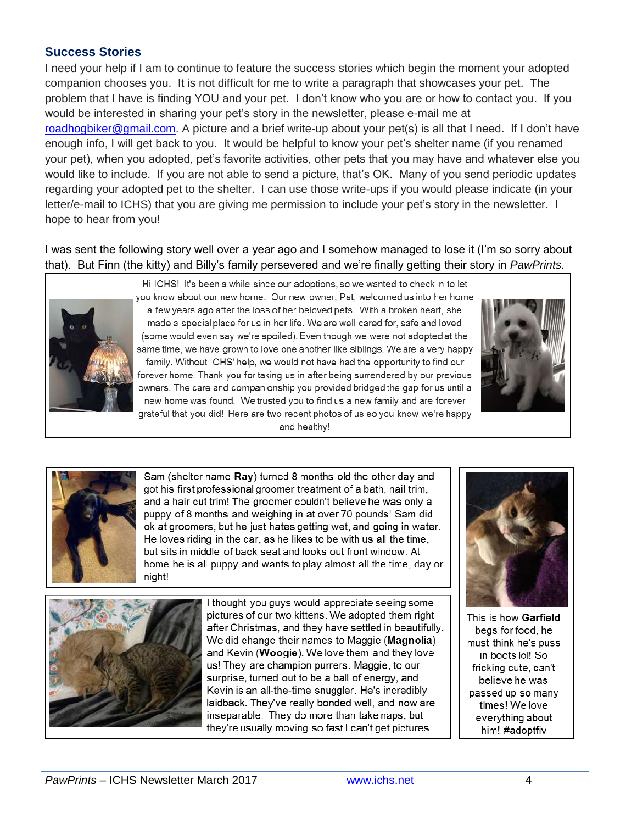## **Success Stories**

I need your help if I am to continue to feature the success stories which begin the moment your adopted companion chooses you. It is not difficult for me to write a paragraph that showcases your pet. The problem that I have is finding YOU and your pet. I don't know who you are or how to contact you. If you would be interested in sharing your pet's story in the newsletter, please e-mail me at [roadhogbiker@gmail.com.](mailto:roadhogbiker@gmail.com) A picture and a brief write-up about your pet(s) is all that I need. If I don't have enough info, I will get back to you. It would be helpful to know your pet's shelter name (if you renamed your pet), when you adopted, pet's favorite activities, other pets that you may have and whatever else you would like to include. If you are not able to send a picture, that's OK. Many of you send periodic updates regarding your adopted pet to the shelter. I can use those write-ups if you would please indicate (in your letter/e-mail to ICHS) that you are giving me permission to include your pet's story in the newsletter. I hope to hear from you!

I was sent the following story well over a year ago and I somehow managed to lose it (I'm so sorry about that). But Finn (the kitty) and Billy's family persevered and we're finally getting their story in *PawPrints.*



Hi ICHS! It's been a while since our adoptions, so we wanted to check in to let you know about our new home. Our new owner, Pat, welcomed us into her home a few years ago after the loss of her beloved pets. With a broken heart, she made a special place for us in her life. We are well cared for, safe and loved (some would even say we're spoiled). Even though we were not adopted at the same time, we have grown to love one another like siblings. We are a very happy family. Without ICHS' help, we would not have had the opportunity to find our forever home. Thank you for taking us in after being surrendered by our previous owners. The care and companionship you provided bridged the gap for us until a new home was found. We trusted you to find us a new family and are forever grateful that you did! Here are two recent photos of us so you know we're happy and healthy!





Sam (shelter name Ray) turned 8 months old the other day and got his first professional groomer treatment of a bath, nail trim. and a hair cut trim! The groomer couldn't believe he was only a puppy of 8 months and weighing in at over 70 pounds! Sam did ok at groomers, but he just hates getting wet, and going in water. He loves riding in the car, as he likes to be with us all the time, but sits in middle of back seat and looks out front window. At home he is all puppy and wants to play almost all the time, day or night!



I thought you guys would appreciate seeing some pictures of our two kittens. We adopted them right after Christmas, and they have settled in beautifully. We did change their names to Maggie (Magnolia) and Kevin (Woogie). We love them and they love us! They are champion purrers. Maggie, to our surprise, turned out to be a ball of energy, and Kevin is an all-the-time snuggler. He's incredibly laidback. They've really bonded well, and now are inseparable. They do more than take naps, but they're usually moving so fast I can't get pictures.



This is how Garfield begs for food, he must think he's puss in boots lol! So fricking cute, can't believe he was passed up so many times! We love everything about him! #adoptfiv